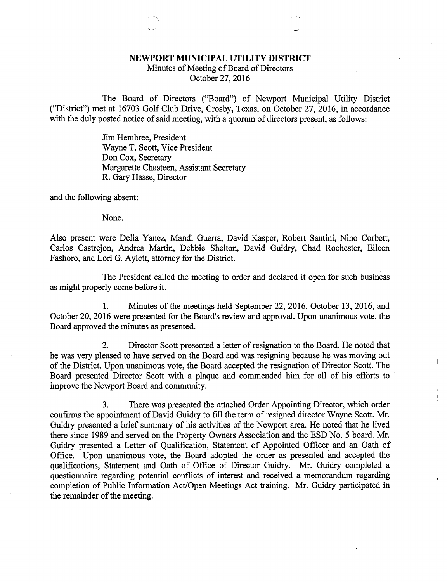## NEWPORT MUNICIPAL UTILITY DISTRICT

Minutes of Meeting of Board of Directors October 27, 2016

The Board of Directors ("Board") of Newport Municipal Utility District ("District") met at 16703 Golf Club Drive, Crosby, Texas, on October 27, 2016, in accordance with the duly posted notice of said meeting, with a quorum of directors present, as follows:

> Jim Hembree, President Wayne T. Scott, Vice President Don Cox, Secretary Margarette Chasteen, Assistant Secretary R. Gary Hasse, Director

and the following absent:

None.

Also present were Delia Yanez, Mandi Guerra, David Kasper, Robert Santini, Nino Corbett, Carlos Castrejon, Andrea Martin, Debbie Shelton, David Guidry, Chad Rochester, Eileen Fashoro, and Lori G. Aylett, attorney for the District.

The President called the meeting to order and declared it open for such business as might properly come before it.

1. Minutes of the meetings held September 22, 2016, October 13, 2016, and October 20, 2016 were presented for the Board's review and approval. Upon unanimous vote, the Board approved the minutes as presented.

2. Director Scott presented a letter of resignation to the Board. He noted that he was very pleased to have served on the Board and was resigning because he was moving out of the District. Upon unanimous vote, the Board accepted the resignation of Director Scott. The Board presented Director Scott with a plaque and commended him for all of his efforts to improve the Newport Board and community.

Ţ

3. There was presented the attached Order Appointing Director, which order confirms the appointment of David Guidry to fill the term of resigned director Wayne Scott. Mr. Guidry presented a brief summary of his activities of the Newport area. He noted that he lived there since 1989 and served on the Property Owners Association and the ESD No. 5 board. Mr. Guidry presented a Letter of Qualification, Statement of Appointed Officer and an Oath of Office. Upon unanimous vote, the Board adopted the order as presented and accepted the qualifications, Statement and Oath of Office of Director Guidry. Mr. Guidry completed a questionnaire regarding potential conflicts of interest and received a memorandum regarding completion of Public Information Act/Open Meetings Act training. Mr. Guidry participated in the remainder of the meeting.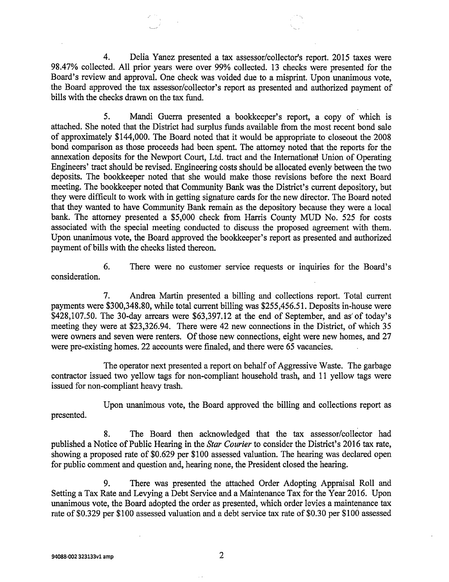4. Delia Yanez presented a tax assessor/collector's report. 2015 taxes were 98.47% collected. All prior years were over 99% collected. 13 checks were presented for the Board's review and approval. One check was voided due to a misprint. Upon unanimous vote, the Board approved the tax assessor/collector's report as presented and authorized payment of bills with the checks drawn on the tax fund.

5. Mandi Guerra presented a bookkeeper's report, a copy of which is attached. She noted that the District had surplus funds available from the most recent bond sale of approximately \$144,000. The Board noted that it would be appropriate to closeout the 2008 bond comparison as those proceeds had been spent. The attorney noted that the reports for the annexation deposits for the Newport Court, Ltd. tract and the International Union of Operating Engineers' tract should be revised. Engineering costs should be allocated evenly between the two deposits. The bookkeeper noted that she would make those revisions before the next Board meeting. The bookkeeper noted that Community Bank was the District's current depository, but they were difficult to work with in getting signature cards for the new director. The Board noted that they wanted to have Community Bank remain as the depository because they were a local bank. The attorney presented a \$5,000 check from Harris County MUD No. 525 for costs associated with the special meeting conducted to discuss the proposed agreement with them. Upon unanimous vote, the Board approved the bookkeeper's report as presented and authorized payment of bills with the checks listed thereon.

6. There were no customer service requests or inquiries for the Board's consideration.

7. Andrea Martin presented a billing and collections report. Total current payments were \$300,348.80, while total current billing was \$255,456.51. Deposits in-house were \$428,107.50. The 30-day arrears were \$63,397.12 at the end of September, and as' of today's meeting they were at \$23,326.94. There were 42 new connections in the District, of which 35 were owners and seven were renters. Of those new connections, eight were new homes, and 27 were pre-existing homes. 22 accounts were finaled, and there were 65 vacancies.

The operator next presented a report on behalf of Aggressive Waste. The garbage contractor issued two yellow tags for non-compliant household trash, and 11 yellow tags were issued for non-compliant heavy trash.

Upon unanimous vote, the Board approved the billing and collections report as presented.

8. The Board then acknowledged that the tax assessor/collector had published a Notice of Public Hearing in the Star Courier to consider the District's 2016 tax rate, showing a proposed rate of \$0.629 per \$100 assessed valuation. The hearing was declared open for public comment and question and, hearing none, the President closed the hearing.

9. There was presented the attached Order Adopting Appraisal Roll and Setting a Tax Rate and Levying a Debt Service and a Maintenance Tax for the Year 2016. Upon unanimous vote, the Board adopted the order as presented, which order levies a maintenance tax rate of \$0.329 per \$100 assessed valuation and a debt service tax rate of \$0.30 per \$100 assessed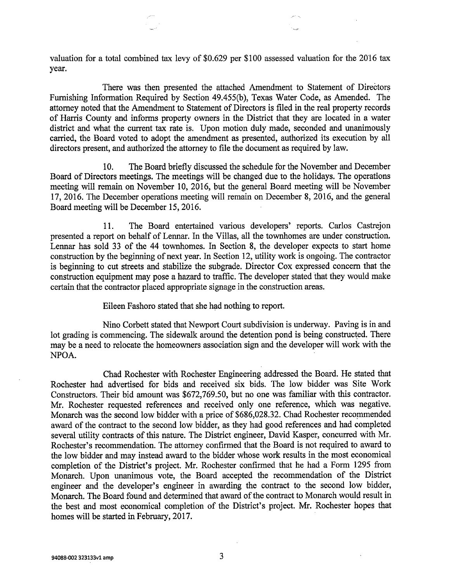valuation for a total combined tax levy of \$0.629 per \$100 assessed valuation for the 2016 tax year.

in di

There was then presented the attached Amendment to Statement of Directors Furnishing Information Required by Section 49.455(b), Texas Water Code, as Amended. The attorney noted that the Amendment to Statement of Directors is filed in the real property records of Harris County and informs property owners in the District that they are located in a water district and what the current tax rate is. Upon motion duly made, seconded and unanimously carried, the Board voted to adopt the amendment as presented, authorized its execution by all directors present, and authorized the attorney to file the document as required by law.

10. The Board briefly discussed the schedule for the November and December Board of Directors meetings. The meetings will be changed due to the holidays. The operations meeting will remain on November 10, 2016, but the general Board meeting will be November 17, 2016. The December operations meeting will remain on December 8, 2016, and the general Board meeting will be December 15, 2016.

11. The Board entertained various developers' reports. Carlos Castrejon presented a report on behalf of Lennar. In the Villas, all the townhomes are under construction. Lennar has sold 33 of the 44 townhomes. In Section 8, the developer expects to start home construction by the beginning of next year. In Section 12, utility work is ongoing. The contractor is beginning to cut streets and stabilize the subgrade. Director Cox expressed concern that the construction equipment may pose a hazard to traffic. The developer stated that they would make certain that the contractor placed appropriate signage in the construction areas.

Eileen Fashoro stated that she had nothing to report.

Nino Corbett stated that Newport Court subdivision is underway. Paving is in and lot grading is commencing. The sidewalk around the detention pond is being constructed. There may be a need to relocate the homeowners association sign and the developer will work with the NPOA.

Chad Rochester with Rochester Engineering addressed the Board. He stated that Rochester had advertised for bids and received six bids. The low bidder was Site Work Constructors. Their bid amount was \$672,769.50, but no one was familiar with this contractor. Mr. Rochester requested references and received only one reference, which was negative. Monarch was the second low bidder with a price of \$686,028.32. Chad Rochester recommended award of the contract to the second low bidder, as they had good references and had completed several utility contracts of this nature. The District engineer, David Kasper, concurred with Mr. Rochester's recommendation. The attorney confirmed that the Board is not required to award to the low bidder and may instead award to the bidder whose work results in the most economical completion of the District's project. Mr. Rochester confirmed that he had a Form 1295 from Monarch. Upon unanimous vote, the Board accepted the recommendation of the District engineer and the developer's engineer in awarding the contract to the second low bidder, Monarch. The Board found and determined that award of the contract to Monarch would result in the best and most economical completion of the District's project. Mr. Rochester hopes that homes will be started in February, 2017.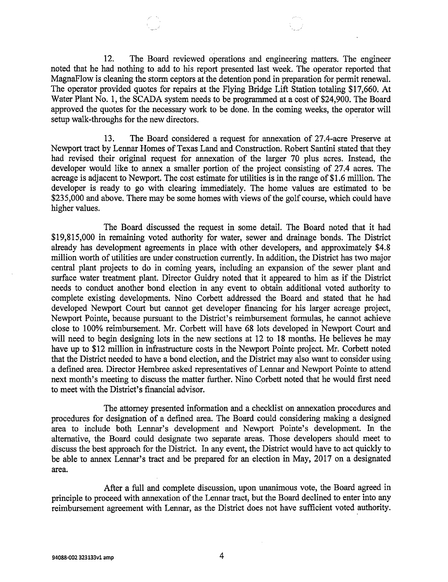12. The Board reviewed operations and engineering matters. The engineer noted that he had nothing to add to his report presented last week. The operator reported that MagnaFlow is cleaning the storm ceptors at the detention pond in preparation for permit renewal. The operator provided quotes for repairs at the Flying Bridge Lift Station totaling \$17,660. At Water Plant No. 1, the SCADA system needs to be programmed at a cost of \$24,900. The Board approved the quotes for the necessary work to be done. In the coming weeks, the operator will setup walk-throughs for the new directors.

13. The Board considered a request for annexation of 27.4-acre Preserve at Newport tract by Lennar Homes of Texas Land and Construction. Robert Santini stated that they had revised their original request for annexation of the larger 70 plus acres. Instead, the developer would like to annex a smaller portion of the project consisting of 27.4 acres. The acreage is adjacent to Newport. The cost estimate for utilities is in the range of \$1.6 million. The developer is ready to go with clearing immediately. The home values are estimated to be \$235,000 and above. There may be some homes with views of the golf course, which could have higher values.

The Board discussed the request in some detail. The Board noted that it had \$19,815,000 in remaining voted authority for water, sewer and drainage bonds. The District already has development agreements in place with other developers, and approximately \$4.8 million worth of utilities are under construction currently. In addition, the District has two major central plant projects to do in coming years, including an expansion of the sewer plant and surface water treatment plant. Director Guidry noted that it appeared to him as if the District needs to conduct another bond election in any event to obtain additional voted authority to complete existing developments. Nino Corbett addressed the Board and stated that he had developed Newport Court but cannot get developer financing for his larger acreage project, Newport Pointe, because pursuant to the District's reimbursement formulas, he cannot achieve close to 100% reimbursement. Mr. Corbett will have 68 lots developed in Newport Court and will need to begin designing lots in the new sections at 12 to 18 months. He believes he may have up to \$12 million in infrastructure costs in the Newport Pointe project. Mr. Corbett noted that the District needed to have a bond election, and the District may also want to consider using a defined area. Director Hembree asked representatives of Lennar and Newport Pointe to attend next month's meeting to discuss the matter further. Nino Corbett noted that he would first need to meet with the District's financial advisor.

The attorney presented information and a checklist on annexation procedures and procedures for designation of a defined area. The Board could considering making a designed area to include both Lennar's development and Newport Pointe's development. In the alternative, the Board could designate two separate areas. Those developers should meet to discuss the best approach for the District. In any event, the District would have to act quickly to be able to annex Lennar's tract and be prepared for an election in May, 2017 on a designated area.

After a full and complete discussion, upon unanimous vote, the Board agreed in principle to proceed with annexation of the Lennar tract, but the Board declined to enter into any reimbursement agreement with Lennar, as the District does not have sufficient voted authority.